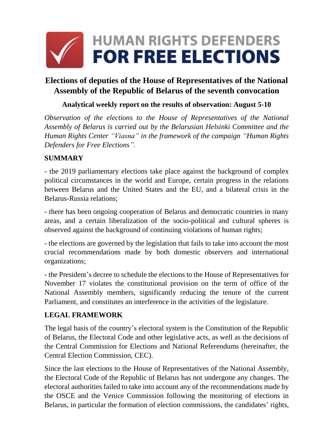

# **Elections of deputies of the House of Representatives of the National Assembly of the Republic of Belarus of the seventh convocation**

### **Analytical weekly report on the results of observation: August 5-10**

*Observation of the elections to the House of Representatives of the National Assembly of Belarus is carried out by the Belarusian Helsinki Committee and the Human Rights Center "Viasna" in the framework of the campaign "Human Rights Defenders for Free Elections".*

#### **SUMMARY**

- the 2019 parliamentary elections take place against the background of complex political circumstances in the world and Europe, certain progress in the relations between Belarus and the United States and the EU, and a bilateral crisis in the Belarus-Russia relations;

- there has been ongoing cooperation of Belarus and democratic countries in many areas, and a certain liberalization of the socio-political and cultural spheres is observed against the background of continuing violations of human rights;

- the elections are governed by the legislation that fails to take into account the most crucial recommendations made by both domestic observers and international organizations;

- the President's decree to schedule the elections to the House of Representatives for November 17 violates the constitutional provision on the term of office of the National Assembly members, significantly reducing the tenure of the current Parliament, and constitutes an interference in the activities of the legislature.

#### **LEGAL FRAMEWORK**

The legal basis of the country's electoral system is the Constitution of the Republic of Belarus, the Electoral Code and other legislative acts, as well as the decisions of the Central Commission for Elections and National Referendums (hereinafter, the Central Election Commission, CEC).

Since the last elections to the House of Representatives of the National Assembly, the Electoral Code of the Republic of Belarus has not undergone any changes. The electoral authorities failed to take into account any of the recommendations made by the OSCE and the Venice Commission following the monitoring of elections in Belarus, in particular the formation of election commissions, the candidates' rights,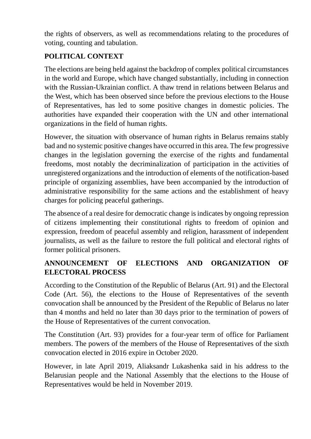the rights of observers, as well as recommendations relating to the procedures of voting, counting and tabulation.

## **POLITICAL CONTEXT**

The elections are being held against the backdrop of complex political circumstances in the world and Europe, which have changed substantially, including in connection with the Russian-Ukrainian conflict. A thaw trend in relations between Belarus and the West, which has been observed since before the previous elections to the House of Representatives, has led to some positive changes in domestic policies. The authorities have expanded their cooperation with the UN and other international organizations in the field of human rights.

However, the situation with observance of human rights in Belarus remains stably bad and no systemic positive changes have occurred in this area. The few progressive changes in the legislation governing the exercise of the rights and fundamental freedoms, most notably the decriminalization of participation in the activities of unregistered organizations and the introduction of elements of the notification-based principle of organizing assemblies, have been accompanied by the introduction of administrative responsibility for the same actions and the establishment of heavy charges for policing peaceful gatherings.

The absence of a real desire for democratic change is indicates by ongoing repression of citizens implementing their constitutional rights to freedom of opinion and expression, freedom of peaceful assembly and religion, harassment of independent journalists, as well as the failure to restore the full political and electoral rights of former political prisoners.

### **ANNOUNCEMENT OF ELECTIONS AND ORGANIZATION OF ELECTORAL PROCESS**

According to the Constitution of the Republic of Belarus (Art. 91) and the Electoral Code (Art. 56), the elections to the House of Representatives of the seventh convocation shall be announced by the President of the Republic of Belarus no later than 4 months and held no later than 30 days prior to the termination of powers of the House of Representatives of the current convocation.

The Constitution (Art. 93) provides for a four-year term of office for Parliament members. The powers of the members of the House of Representatives of the sixth convocation elected in 2016 expire in October 2020.

However, in late April 2019, Aliaksandr Lukashenka said in his address to the Belarusian people and the National Assembly that the elections to the House of Representatives would be held in November 2019.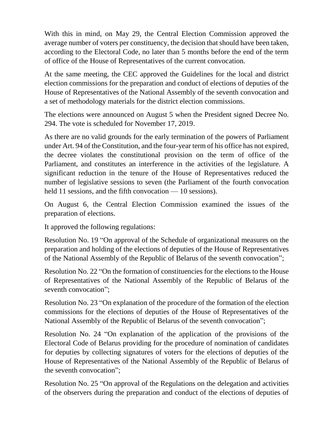With this in mind, on May 29, the Central Election Commission approved the average number of voters per constituency, the decision that should have been taken, according to the Electoral Code, no later than 5 months before the end of the term of office of the House of Representatives of the current convocation.

At the same meeting, the CEC approved the Guidelines for the local and district election commissions for the preparation and conduct of elections of deputies of the House of Representatives of the National Assembly of the seventh convocation and a set of methodology materials for the district election commissions.

The elections were announced on August 5 when the President signed Decree No. 294. The vote is scheduled for November 17, 2019.

As there are no valid grounds for the early termination of the powers of Parliament under Art. 94 of the Constitution, and the four-year term of his office has not expired, the decree violates the constitutional provision on the term of office of the Parliament, and constitutes an interference in the activities of the legislature. A significant reduction in the tenure of the House of Representatives reduced the number of legislative sessions to seven (the Parliament of the fourth convocation held 11 sessions, and the fifth convocation — 10 sessions).

On August 6, the Central Election Commission examined the issues of the preparation of elections.

It approved the following regulations:

Resolution No. 19 "On approval of the Schedule of organizational measures on the preparation and holding of the elections of deputies of the House of Representatives of the National Assembly of the Republic of Belarus of the seventh convocation";

Resolution No. 22 "On the formation of constituencies for the elections to the House of Representatives of the National Assembly of the Republic of Belarus of the seventh convocation";

Resolution No. 23 "On explanation of the procedure of the formation of the election commissions for the elections of deputies of the House of Representatives of the National Assembly of the Republic of Belarus of the seventh convocation";

Resolution No. 24 "On explanation of the application of the provisions of the Electoral Code of Belarus providing for the procedure of nomination of candidates for deputies by collecting signatures of voters for the elections of deputies of the House of Representatives of the National Assembly of the Republic of Belarus of the seventh convocation";

Resolution No. 25 "On approval of the Regulations on the delegation and activities of the observers during the preparation and conduct of the elections of deputies of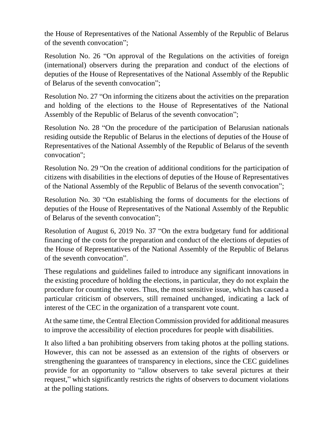the House of Representatives of the National Assembly of the Republic of Belarus of the seventh convocation";

Resolution No. 26 "On approval of the Regulations on the activities of foreign (international) observers during the preparation and conduct of the elections of deputies of the House of Representatives of the National Assembly of the Republic of Belarus of the seventh convocation";

Resolution No. 27 "On informing the citizens about the activities on the preparation and holding of the elections to the House of Representatives of the National Assembly of the Republic of Belarus of the seventh convocation";

Resolution No. 28 "On the procedure of the participation of Belarusian nationals residing outside the Republic of Belarus in the elections of deputies of the House of Representatives of the National Assembly of the Republic of Belarus of the seventh convocation";

Resolution No. 29 "On the creation of additional conditions for the participation of citizens with disabilities in the elections of deputies of the House of Representatives of the National Assembly of the Republic of Belarus of the seventh convocation";

Resolution No. 30 "On establishing the forms of documents for the elections of deputies of the House of Representatives of the National Assembly of the Republic of Belarus of the seventh convocation";

Resolution of August 6, 2019 No. 37 "On the extra budgetary fund for additional financing of the costs for the preparation and conduct of the elections of deputies of the House of Representatives of the National Assembly of the Republic of Belarus of the seventh convocation".

These regulations and guidelines failed to introduce any significant innovations in the existing procedure of holding the elections, in particular, they do not explain the procedure for counting the votes. Thus, the most sensitive issue, which has caused a particular criticism of observers, still remained unchanged, indicating a lack of interest of the CEC in the organization of a transparent vote count.

At the same time, the Central Election Commission provided for additional measures to improve the accessibility of election procedures for people with disabilities.

It also lifted a ban prohibiting observers from taking photos at the polling stations. However, this can not be assessed as an extension of the rights of observers or strengthening the guarantees of transparency in elections, since the CEC guidelines provide for an opportunity to "allow observers to take several pictures at their request," which significantly restricts the rights of observers to document violations at the polling stations.